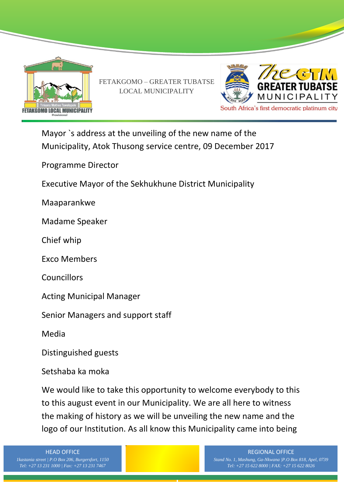

FETAKGOMO – GREATER TUBATSE LOCAL MUNICIPALITY



Mayor `s address at the unveiling of the new name of the Municipality, Atok Thusong service centre, 09 December 2017

Programme Director

Executive Mayor of the Sekhukhune District Municipality

Maaparankwe

Madame Speaker

Chief whip

Exco Members

**Councillors** 

Acting Municipal Manager

Senior Managers and support staff

Media

Distinguished guests

Setshaba ka moka

We would like to take this opportunity to welcome everybody to this to this august event in our Municipality. We are all here to witness the making of history as we will be unveiling the new name and the logo of our Institution. As all know this Municipality came into being

HEAD OFFICE

*1kastania street | P.O Box 206, Burgersfort, 1150*

#### REGIONAL OFFICE *Stand No. 1, Mashung, Ga-Nkwana |P.O Box 818, Apel, 0739 Tel: +27 15 622 8000 | FAX: +27 15 622 8026*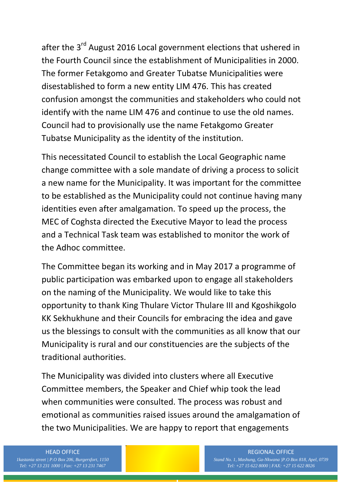after the 3<sup>rd</sup> August 2016 Local government elections that ushered in the Fourth Council since the establishment of Municipalities in 2000. The former Fetakgomo and Greater Tubatse Municipalities were disestablished to form a new entity LIM 476. This has created confusion amongst the communities and stakeholders who could not identify with the name LIM 476 and continue to use the old names. Council had to provisionally use the name Fetakgomo Greater Tubatse Municipality as the identity of the institution.

This necessitated Council to establish the Local Geographic name change committee with a sole mandate of driving a process to solicit a new name for the Municipality. It was important for the committee to be established as the Municipality could not continue having many identities even after amalgamation. To speed up the process, the MEC of Coghsta directed the Executive Mayor to lead the process and a Technical Task team was established to monitor the work of the Adhoc committee.

The Committee began its working and in May 2017 a programme of public participation was embarked upon to engage all stakeholders on the naming of the Municipality. We would like to take this opportunity to thank King Thulare Victor Thulare III and Kgoshikgolo KK Sekhukhune and their Councils for embracing the idea and gave us the blessings to consult with the communities as all know that our Municipality is rural and our constituencies are the subjects of the traditional authorities.

The Municipality was divided into clusters where all Executive Committee members, the Speaker and Chief whip took the lead when communities were consulted. The process was robust and emotional as communities raised issues around the amalgamation of the two Municipalities. We are happy to report that engagements

# HEAD OFFICE

*1kastania street | P.O Box 206, Burgersfort, 1150*

#### REGIONAL OFFICE *Stand No. 1, Mashung, Ga-Nkwana |P.O Box 818, Apel, 0739 Tel: +27 15 622 8000 | FAX: +27 15 622 8026*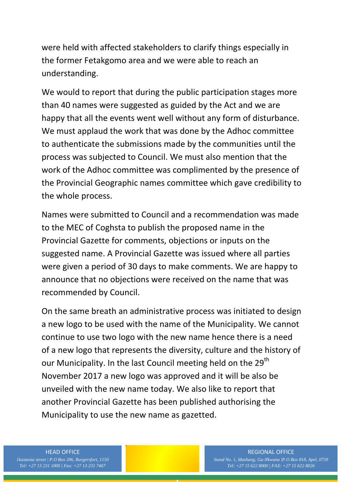were held with affected stakeholders to clarify things especially in the former Fetakgomo area and we were able to reach an understanding.

We would to report that during the public participation stages more than 40 names were suggested as guided by the Act and we are happy that all the events went well without any form of disturbance. We must applaud the work that was done by the Adhoc committee to authenticate the submissions made by the communities until the process was subjected to Council. We must also mention that the work of the Adhoc committee was complimented by the presence of the Provincial Geographic names committee which gave credibility to the whole process.

Names were submitted to Council and a recommendation was made to the MEC of Coghsta to publish the proposed name in the Provincial Gazette for comments, objections or inputs on the suggested name. A Provincial Gazette was issued where all parties were given a period of 30 days to make comments. We are happy to announce that no objections were received on the name that was recommended by Council.

On the same breath an administrative process was initiated to design a new logo to be used with the name of the Municipality. We cannot continue to use two logo with the new name hence there is a need of a new logo that represents the diversity, culture and the history of our Municipality. In the last Council meeting held on the 29<sup>th</sup> November 2017 a new logo was approved and it will be also be unveiled with the new name today. We also like to report that another Provincial Gazette has been published authorising the Municipality to use the new name as gazetted.

# HEAD OFFICE

*1kastania street | P.O Box 206, Burgersfort, 1150*

#### REGIONAL OFFICE *Stand No. 1, Mashung, Ga-Nkwana |P.O Box 818, Apel, 0739 Tel: +27 15 622 8000 | FAX: +27 15 622 8026*